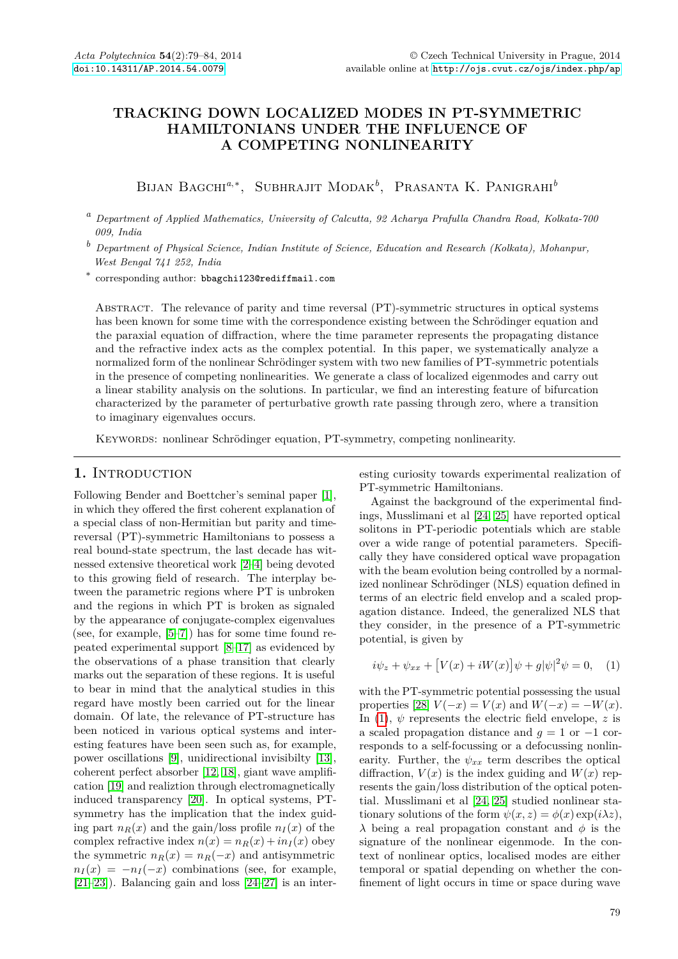# **TRACKING DOWN LOCALIZED MODES IN PT-SYMMETRIC HAMILTONIANS UNDER THE INFLUENCE OF A COMPETING NONLINEARITY**

Bijan Bagchi*a*,<sup>∗</sup> , Subhrajit Modak*<sup>b</sup>* , Prasanta K. Panigrahi*<sup>b</sup>*

*<sup>a</sup> Department of Applied Mathematics, University of Calcutta, 92 Acharya Prafulla Chandra Road, Kolkata-700 009, India*

*<sup>b</sup> Department of Physical Science, Indian Institute of Science, Education and Research (Kolkata), Mohanpur, West Bengal 741 252, India*

∗ corresponding author: bbagchi123@rediffmail.com

Abstract. The relevance of parity and time reversal (PT)-symmetric structures in optical systems has been known for some time with the correspondence existing between the Schrödinger equation and the paraxial equation of diffraction, where the time parameter represents the propagating distance and the refractive index acts as the complex potential. In this paper, we systematically analyze a normalized form of the nonlinear Schrödinger system with two new families of PT-symmetric potentials in the presence of competing nonlinearities. We generate a class of localized eigenmodes and carry out a linear stability analysis on the solutions. In particular, we find an interesting feature of bifurcation characterized by the parameter of perturbative growth rate passing through zero, where a transition to imaginary eigenvalues occurs.

Keywords: nonlinear Schrödinger equation, PT-symmetry, competing nonlinearity.

## 1. INTRODUCTION

Following Bender and Boettcher's seminal paper [\[1\]](#page-4-0), in which they offered the first coherent explanation of a special class of non-Hermitian but parity and timereversal (PT)-symmetric Hamiltonians to possess a real bound-state spectrum, the last decade has witnessed extensive theoretical work [\[2](#page-4-1)[–4\]](#page-4-2) being devoted to this growing field of research. The interplay between the parametric regions where PT is unbroken and the regions in which PT is broken as signaled by the appearance of conjugate-complex eigenvalues (see, for example, [\[5–](#page-4-3)[7\]](#page-4-4)) has for some time found repeated experimental support [\[8–](#page-4-5)[17\]](#page-4-6) as evidenced by the observations of a phase transition that clearly marks out the separation of these regions. It is useful to bear in mind that the analytical studies in this regard have mostly been carried out for the linear domain. Of late, the relevance of PT-structure has been noticed in various optical systems and interesting features have been seen such as, for example, power oscillations [\[9\]](#page-4-7), unidirectional invisibilty [\[13\]](#page-4-8), coherent perfect absorber [\[12,](#page-4-9) [18\]](#page-4-10), giant wave amplification [\[19\]](#page-4-11) and realiztion through electromagnetically induced transparency [\[20\]](#page-5-0). In optical systems, PTsymmetry has the implication that the index guiding part  $n_B(x)$  and the gain/loss profile  $n_I(x)$  of the complex refractive index  $n(x) = n_R(x) + i n_I(x)$  obey the symmetric  $n_R(x) = n_R(-x)$  and antisymmetric  $n_I(x) = -n_I(-x)$  combinations (see, for example,  $[21-23]$  $[21-23]$ . Balancing gain and loss  $[24-27]$  $[24-27]$  is an interesting curiosity towards experimental realization of PT-symmetric Hamiltonians.

Against the background of the experimental findings, Musslimani et al [\[24,](#page-5-3) [25\]](#page-5-5) have reported optical solitons in PT-periodic potentials which are stable over a wide range of potential parameters. Specifically they have considered optical wave propagation with the beam evolution being controlled by a normalized nonlinear Schrödinger (NLS) equation defined in terms of an electric field envelop and a scaled propagation distance. Indeed, the generalized NLS that they consider, in the presence of a PT-symmetric potential, is given by

<span id="page-0-0"></span>
$$
i\psi_z + \psi_{xx} + [V(x) + iW(x)]\psi + g|\psi|^2\psi = 0, \quad (1)
$$

with the PT-symmetric potential possessing the usual properties [\[28\]](#page-5-6)  $V(-x) = V(x)$  and  $W(-x) = -W(x)$ . In [\(1\)](#page-0-0),  $\psi$  represents the electric field envelope,  $z$  is a scaled propagation distance and  $q = 1$  or  $-1$  corresponds to a self-focussing or a defocussing nonlinearity. Further, the  $\psi_{xx}$  term describes the optical diffraction,  $V(x)$  is the index guiding and  $W(x)$  represents the gain/loss distribution of the optical potential. Musslimani et al [\[24,](#page-5-3) [25\]](#page-5-5) studied nonlinear stationary solutions of the form  $\psi(x, z) = \phi(x) \exp(i\lambda z)$ , *λ* being a real propagation constant and *φ* is the signature of the nonlinear eigenmode. In the context of nonlinear optics, localised modes are either temporal or spatial depending on whether the confinement of light occurs in time or space during wave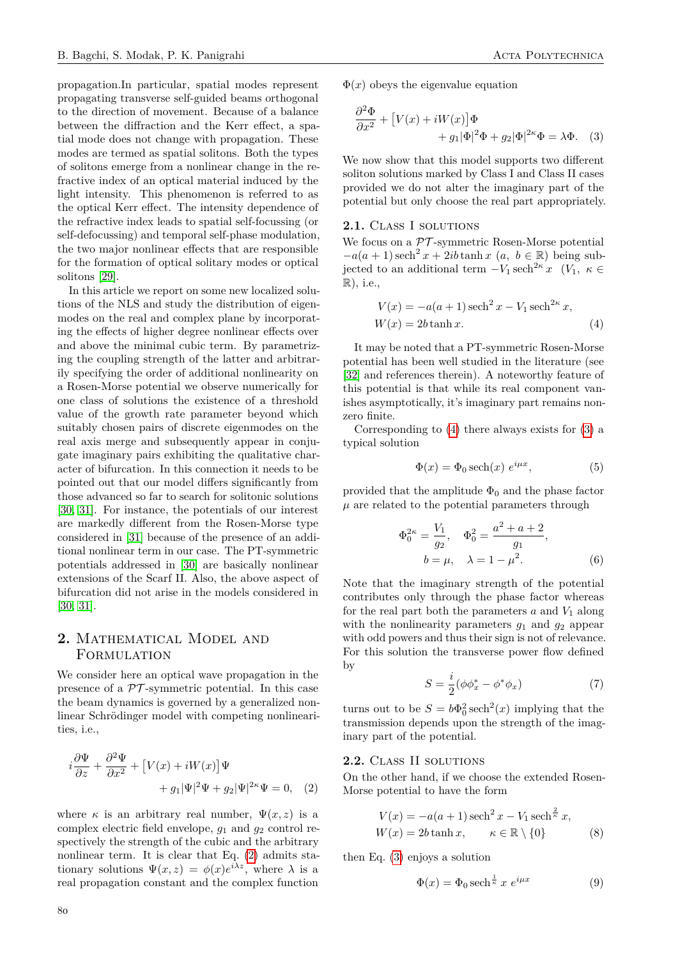propagation.In particular, spatial modes represent propagating transverse self-guided beams orthogonal to the direction of movement. Because of a balance between the diffraction and the Kerr effect, a spatial mode does not change with propagation. These modes are termed as spatial solitons. Both the types of solitons emerge from a nonlinear change in the refractive index of an optical material induced by the light intensity. This phenomenon is referred to as the optical Kerr effect. The intensity dependence of the refractive index leads to spatial self-focussing (or self-defocussing) and temporal self-phase modulation, the two major nonlinear effects that are responsible for the formation of optical solitary modes or optical solitons [\[29\]](#page-5-7).

In this article we report on some new localized solutions of the NLS and study the distribution of eigenmodes on the real and complex plane by incorporating the effects of higher degree nonlinear effects over and above the minimal cubic term. By parametrizing the coupling strength of the latter and arbitrarily specifying the order of additional nonlinearity on a Rosen-Morse potential we observe numerically for one class of solutions the existence of a threshold value of the growth rate parameter beyond which suitably chosen pairs of discrete eigenmodes on the real axis merge and subsequently appear in conjugate imaginary pairs exhibiting the qualitative character of bifurcation. In this connection it needs to be pointed out that our model differs significantly from those advanced so far to search for solitonic solutions [\[30,](#page-5-8) [31\]](#page-5-9). For instance, the potentials of our interest are markedly different from the Rosen-Morse type considered in [\[31\]](#page-5-9) because of the presence of an additional nonlinear term in our case. The PT-symmetric potentials addressed in [\[30\]](#page-5-8) are basically nonlinear extensions of the Scarf II. Also, the above aspect of bifurcation did not arise in the models considered in [\[30,](#page-5-8) [31\]](#page-5-9).

## **2.** Mathematical Model and **FORMULATION**

We consider here an optical wave propagation in the presence of a  $\mathcal{PT}$ -symmetric potential. In this case the beam dynamics is governed by a generalized nonlinear Schrödinger model with competing nonlinearities, i.e.,

$$
i\frac{\partial \Psi}{\partial z} + \frac{\partial^2 \Psi}{\partial x^2} + [V(x) + iW(x)]\Psi + g_1 |\Psi|^2 \Psi + g_2 |\Psi|^{2\kappa} \Psi = 0, \quad (2)
$$

where  $\kappa$  is an arbitrary real number,  $\Psi(x, z)$  is a complex electric field envelope, *g*<sup>1</sup> and *g*<sup>2</sup> control respectively the strength of the cubic and the arbitrary nonlinear term. It is clear that Eq. [\(2\)](#page-1-0) admits stationary solutions  $\Psi(x, z) = \phi(x)e^{i\lambda z}$ , where  $\lambda$  is a real propagation constant and the complex function

<span id="page-1-2"></span>
$$
\frac{\partial^2 \Phi}{\partial x^2} + [V(x) + iW(x)]\Phi \n+ g_1 |\Phi|^2 \Phi + g_2 |\Phi|^{2\kappa} \Phi = \lambda \Phi.
$$
 (3)

We now show that this model supports two different soliton solutions marked by Class I and Class II cases provided we do not alter the imaginary part of the potential but only choose the real part appropriately.

#### **2.1.** Class I solutions

We focus on a  $\mathcal{PT}$ -symmetric Rosen-Morse potential  $-a(a+1)\text{sech}^{2} x + 2ib\tanh x$  (*a*, *b* ∈ R) being subjected to an additional term  $-V_1$  sech<sup>2*κ*</sup>  $x$  ( $V_1$ ,  $\kappa \in$ R), i.e.,

<span id="page-1-1"></span>
$$
V(x) = -a(a+1)\operatorname{sech}^{2} x - V_{1} \operatorname{sech}^{2\kappa} x,
$$
  

$$
W(x) = 2b \tanh x.
$$
 (4)

It may be noted that a PT-symmetric Rosen-Morse potential has been well studied in the literature (see [\[32\]](#page-5-10) and references therein). A noteworthy feature of this potential is that while its real component vanishes asymptotically, it's imaginary part remains nonzero finite.

Corresponding to [\(4\)](#page-1-1) there always exists for [\(3\)](#page-1-2) a typical solution

<span id="page-1-3"></span>
$$
\Phi(x) = \Phi_0 \operatorname{sech}(x) \, e^{i\mu x},\tag{5}
$$

provided that the amplitude  $\Phi_0$  and the phase factor  $\mu$  are related to the potential parameters through

<span id="page-1-4"></span>
$$
\Phi_0^{2\kappa} = \frac{V_1}{g_2}, \quad \Phi_0^2 = \frac{a^2 + a + 2}{g_1},
$$
  

$$
b = \mu, \quad \lambda = 1 - \mu^2.
$$
 (6)

Note that the imaginary strength of the potential contributes only through the phase factor whereas for the real part both the parameters  $a$  and  $V_1$  along with the nonlinearity parameters  $g_1$  and  $g_2$  appear with odd powers and thus their sign is not of relevance. For this solution the transverse power flow defined by

$$
S = \frac{i}{2}(\phi \phi_x^* - \phi^* \phi_x) \tag{7}
$$

turns out to be  $S = b\Phi_0^2 \operatorname{sech}^2(x)$  implying that the transmission depends upon the strength of the imaginary part of the potential.

### **2.2.** Class II solutions

<span id="page-1-0"></span>On the other hand, if we choose the extended Rosen-Morse potential to have the form

$$
V(x) = -a(a+1)\operatorname{sech}^{2} x - V_{1} \operatorname{sech}^{\frac{2}{\kappa}} x,
$$
  
 
$$
W(x) = 2b \tanh x, \qquad \kappa \in \mathbb{R} \setminus \{0\}
$$
 (8)

then Eq. [\(3\)](#page-1-2) enjoys a solution

$$
\Phi(x) = \Phi_0 \operatorname{sech}^{\frac{1}{\kappa}} x e^{i\mu x} \tag{9}
$$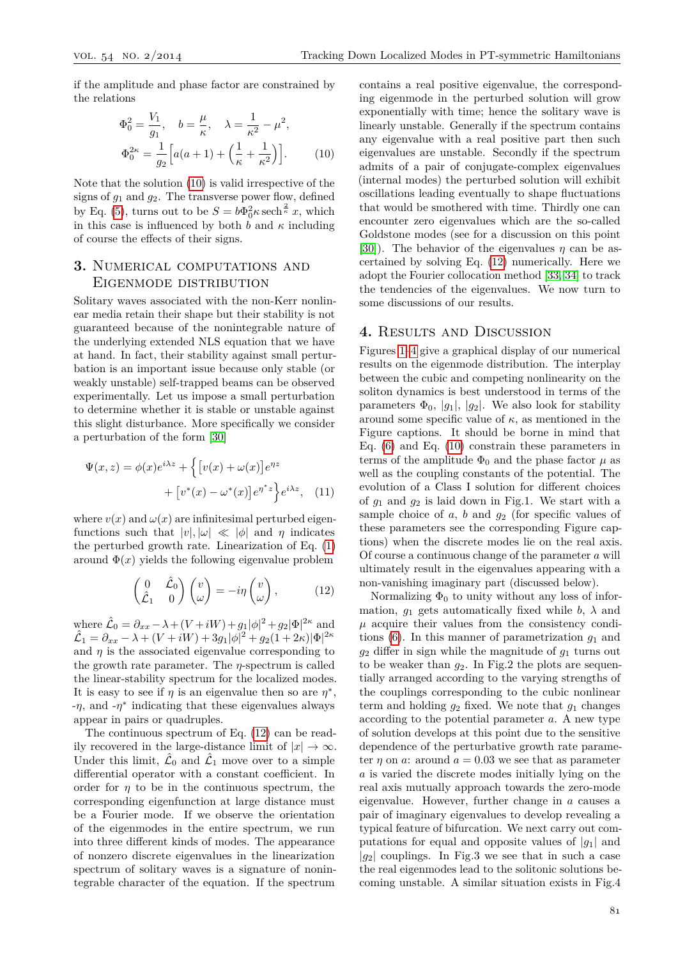if the amplitude and phase factor are constrained by the relations

$$
\Phi_0^2 = \frac{V_1}{g_1}, \quad b = \frac{\mu}{\kappa}, \quad \lambda = \frac{1}{\kappa^2} - \mu^2,
$$
  

$$
\Phi_0^{2\kappa} = \frac{1}{g_2} \Big[ a(a+1) + \Big( \frac{1}{\kappa} + \frac{1}{\kappa^2} \Big) \Big].
$$
 (10)

Note that the solution [\(10\)](#page-2-0) is valid irrespective of the signs of  $g_1$  and  $g_2$ . The transverse power flow, defined by Eq. [\(5\)](#page-1-3), turns out to be  $S = b\Phi_0^2 \kappa \operatorname{sech}^{\frac{2}{\kappa}} x$ , which in this case is influenced by both  $\bar{b}$  and  $\kappa$  including of course the effects of their signs.

## **3.** Numerical computations and Eigenmode distribution

Solitary waves associated with the non-Kerr nonlinear media retain their shape but their stability is not guaranteed because of the nonintegrable nature of the underlying extended NLS equation that we have at hand. In fact, their stability against small perturbation is an important issue because only stable (or weakly unstable) self-trapped beams can be observed experimentally. Let us impose a small perturbation to determine whether it is stable or unstable against this slight disturbance. More specifically we consider a perturbation of the form [\[30\]](#page-5-8)

$$
\Psi(x,z) = \phi(x)e^{i\lambda z} + \left\{ \left[ v(x) + \omega(x) \right] e^{\eta z} + \left[ v^*(x) - \omega^*(x) \right] e^{\eta^* z} \right\} e^{i\lambda z}, \quad (11)
$$

where  $v(x)$  and  $\omega(x)$  are infinitesimal perturbed eigenfunctions such that  $|v|, |\omega| \ll |\phi|$  and  $\eta$  indicates the perturbed growth rate. Linearization of Eq. [\(1\)](#page-0-0) around  $\Phi(x)$  yields the following eigenvalue problem

<span id="page-2-1"></span>
$$
\begin{pmatrix} 0 & \hat{\mathcal{L}}_0 \\ \hat{\mathcal{L}}_1 & 0 \end{pmatrix} \begin{pmatrix} v \\ \omega \end{pmatrix} = -i\eta \begin{pmatrix} v \\ \omega \end{pmatrix}, \qquad (12)
$$

where  $\hat{\mathcal{L}}_0 = \partial_{xx} - \lambda + (V + iW) + g_1 |\phi|^2 + g_2 |\Phi|^{2\kappa}$  and  $\hat{\mathcal{L}}_{1} = \partial_{xx} - \lambda + (V + iW) + 3g_{1}|\phi|^{2} + g_{2}(1+2\kappa)|\Phi|^{2\kappa}$ and  $\eta$  is the associated eigenvalue corresponding to the growth rate parameter. The *η*-spectrum is called the linear-stability spectrum for the localized modes. It is easy to see if  $\eta$  is an eigenvalue then so are  $\eta^*$ , -*η*, and -*η* ∗ indicating that these eigenvalues always appear in pairs or quadruples.

The continuous spectrum of Eq. [\(12\)](#page-2-1) can be readily recovered in the large-distance limit of  $|x| \to \infty$ . Under this limit,  $\hat{\mathcal{L}}_0$  and  $\hat{\mathcal{L}}_1$  move over to a simple differential operator with a constant coefficient. In order for  $\eta$  to be in the continuous spectrum, the corresponding eigenfunction at large distance must be a Fourier mode. If we observe the orientation of the eigenmodes in the entire spectrum, we run into three different kinds of modes. The appearance of nonzero discrete eigenvalues in the linearization spectrum of solitary waves is a signature of nonintegrable character of the equation. If the spectrum

<span id="page-2-0"></span>contains a real positive eigenvalue, the corresponding eigenmode in the perturbed solution will grow exponentially with time; hence the solitary wave is linearly unstable. Generally if the spectrum contains any eigenvalue with a real positive part then such eigenvalues are unstable. Secondly if the spectrum admits of a pair of conjugate-complex eigenvalues (internal modes) the perturbed solution will exhibit oscillations leading eventually to shape fluctuations that would be smothered with time. Thirdly one can encounter zero eigenvalues which are the so-called Goldstone modes (see for a discussion on this point [\[30\]](#page-5-8)). The behavior of the eigenvalues  $\eta$  can be ascertained by solving Eq. [\(12\)](#page-2-1) numerically. Here we adopt the Fourier collocation method [\[33,](#page-5-11) [34\]](#page-5-12) to track the tendencies of the eigenvalues. We now turn to some discussions of our results.

### **4.** Results and Discussion

Figures [1–](#page-3-0)[4](#page-4-12) give a graphical display of our numerical results on the eigenmode distribution. The interplay between the cubic and competing nonlinearity on the soliton dynamics is best understood in terms of the parameters  $\Phi_0$ ,  $|g_1|$ ,  $|g_2|$ . We also look for stability around some specific value of *κ*, as mentioned in the Figure captions. It should be borne in mind that Eq. [\(6\)](#page-1-4) and Eq. [\(10\)](#page-2-0) constrain these parameters in terms of the amplitude  $\Phi_0$  and the phase factor  $\mu$  as well as the coupling constants of the potential. The evolution of a Class I solution for different choices of *g*<sup>1</sup> and *g*<sup>2</sup> is laid down in Fig.1. We start with a sample choice of *a*, *b* and *g*<sup>2</sup> (for specific values of these parameters see the corresponding Figure captions) when the discrete modes lie on the real axis. Of course a continuous change of the parameter *a* will ultimately result in the eigenvalues appearing with a non-vanishing imaginary part (discussed below).

Normalizing  $\Phi_0$  to unity without any loss of information,  $g_1$  gets automatically fixed while  $b$ ,  $\lambda$  and  $\mu$  acquire their values from the consistency conditions  $(6)$ . In this manner of parametrization  $g_1$  and *g*<sup>2</sup> differ in sign while the magnitude of *g*<sup>1</sup> turns out to be weaker than  $g_2$ . In Fig.2 the plots are sequentially arranged according to the varying strengths of the couplings corresponding to the cubic nonlinear term and holding  $q_2$  fixed. We note that  $q_1$  changes according to the potential parameter *a*. A new type of solution develops at this point due to the sensitive dependence of the perturbative growth rate parameter  $\eta$  on  $\alpha$ : around  $\alpha = 0.03$  we see that as parameter *a* is varied the discrete modes initially lying on the real axis mutually approach towards the zero-mode eigenvalue. However, further change in *a* causes a pair of imaginary eigenvalues to develop revealing a typical feature of bifurcation. We next carry out computations for equal and opposite values of  $|q_1|$  and  $|q_2|$  couplings. In Fig.3 we see that in such a case the real eigenmodes lead to the solitonic solutions becoming unstable. A similar situation exists in Fig.4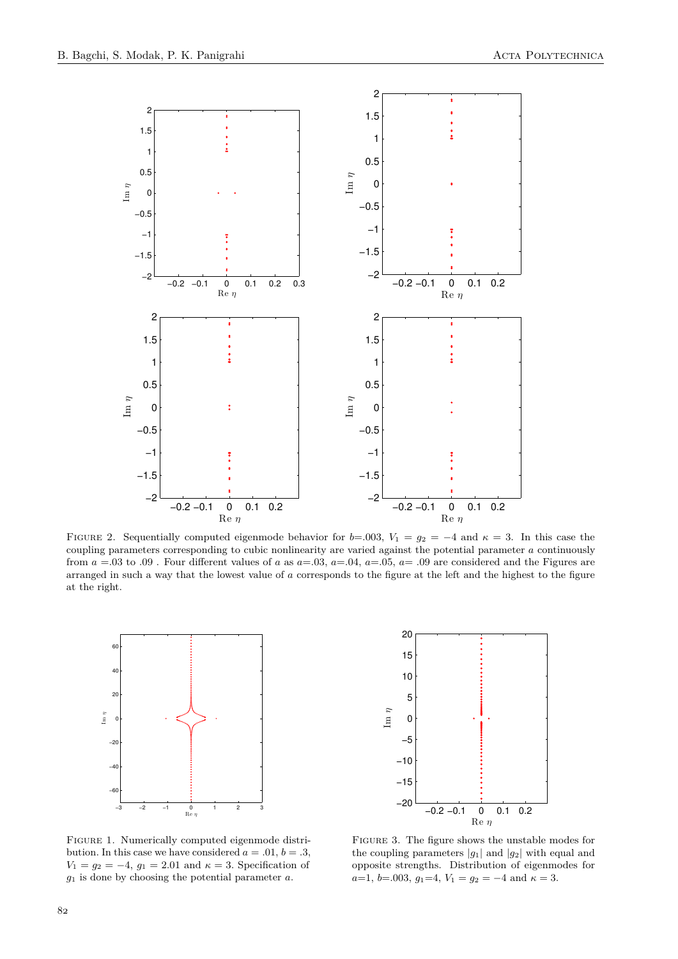

FIGURE 2. Sequentially computed eigenmode behavior for  $b=0.003$ ,  $V_1 = g_2 = -4$  and  $\kappa = 3$ . In this case the coupling parameters corresponding to cubic nonlinearity are varied against the potential parameter *a* continuously from  $a = 0.03$  to  $.09$ . Four different values of a as  $a = 0.03$ ,  $a = 0.04$ ,  $a = 0.05$ ,  $a = 0.09$  are considered and the Figures are arranged in such a way that the lowest value of *a* corresponds to the figure at the left and the highest to the figure at the right.

<span id="page-3-0"></span>

Figure 1. Numerically computed eigenmode distribution. In this case we have considered  $a = .01$ ,  $b = .3$ , *V*<sub>1</sub> =  $g_2 = -4$ ,  $g_1 = 2.01$  and  $\kappa = 3$ . Specification of *g*<sup>1</sup> is done by choosing the potential parameter *a*.



Figure 3. The figure shows the unstable modes for the coupling parameters  $|g_1|$  and  $|g_2|$  with equal and opposite strengths. Distribution of eigenmodes for  $a=1, b=.003, g_1=4, V_1=g_2=-4$  and  $\kappa=3$ .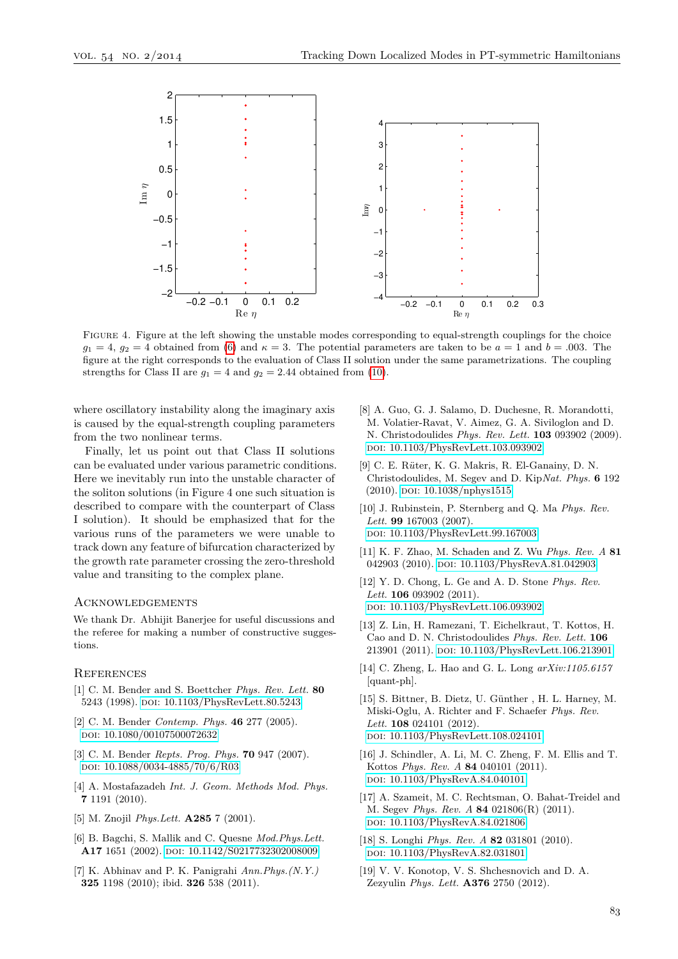<span id="page-4-12"></span>

Figure 4. Figure at the left showing the unstable modes corresponding to equal-strength couplings for the choice  $g_1 = 4$ ,  $g_2 = 4$  obtained from [\(6\)](#page-1-4) and  $\kappa = 3$ . The potential parameters are taken to be  $a = 1$  and  $b = .003$ . The figure at the right corresponds to the evaluation of Class II solution under the same parametrizations. The coupling strengths for Class II are  $g_1 = 4$  and  $g_2 = 2.44$  obtained from [\(10\)](#page-2-0).

where oscillatory instability along the imaginary axis is caused by the equal-strength coupling parameters from the two nonlinear terms.

Finally, let us point out that Class II solutions can be evaluated under various parametric conditions. Here we inevitably run into the unstable character of the soliton solutions (in Figure 4 one such situation is described to compare with the counterpart of Class I solution). It should be emphasized that for the various runs of the parameters we were unable to track down any feature of bifurcation characterized by the growth rate parameter crossing the zero-threshold value and transiting to the complex plane.

### **ACKNOWLEDGEMENTS**

We thank Dr. Abhijit Banerjee for useful discussions and the referee for making a number of constructive suggestions.

#### **REFERENCES**

- <span id="page-4-0"></span>[1] C. M. Bender and S. Boettcher *Phys. Rev. Lett.* **80** 5243 (1998). doi: [10.1103/PhysRevLett.80.5243](http://dx.doi.org/10.1103/PhysRevLett.80.5243)
- <span id="page-4-1"></span>[2] C. M. Bender *Contemp. Phys.* **46** 277 (2005). doi: [10.1080/00107500072632](http://dx.doi.org/10.1080/00107500072632)
- [3] C. M. Bender *Repts. Prog. Phys.* **70** 947 (2007). doi: [10.1088/0034-4885/70/6/R03](http://dx.doi.org/10.1088/0034-4885/70/6/R03)
- <span id="page-4-2"></span>[4] A. Mostafazadeh *Int. J. Geom. Methods Mod. Phys.* **7** 1191 (2010).
- <span id="page-4-3"></span>[5] M. Znojil *Phys.Lett.* **A285** 7 (2001).
- [6] B. Bagchi, S. Mallik and C. Quesne *Mod.Phys.Lett.* A17 1651 (2002). doi: [10.1142/S0217732302008009](http://dx.doi.org/10.1142/S0217732302008009)
- <span id="page-4-4"></span>[7] K. Abhinav and P. K. Panigrahi *Ann.Phys.(N.Y.)* **325** 1198 (2010); ibid. **326** 538 (2011).
- <span id="page-4-5"></span>[8] A. Guo, G. J. Salamo, D. Duchesne, R. Morandotti, M. Volatier-Ravat, V. Aimez, G. A. Siviloglon and D. N. Christodoulides *Phys. Rev. Lett.* **103** 093902 (2009). doi: [10.1103/PhysRevLett.103.093902](http://dx.doi.org/10.1103/PhysRevLett.103.093902)
- <span id="page-4-7"></span>[9] C. E. R*u*¨ter, K. G. Makris, R. El-Ganainy, D. N. Christodoulides, M. Segev and D. Kip*Nat. Phys.* **6** 192 (2010). poi: [10.1038/nphys1515](http://dx.doi.org/10.1038/nphys1515)
- [10] J. Rubinstein, P. Sternberg and Q. Ma *Phys. Rev. Lett.* **99** 167003 (2007). doi: [10.1103/PhysRevLett.99.167003](http://dx.doi.org/10.1103/PhysRevLett.99.167003)
- [11] K. F. Zhao, M. Schaden and Z. Wu *Phys. Rev. A* **81** 042903 (2010). DOI: [10.1103/PhysRevA.81.042903](http://dx.doi.org/10.1103/PhysRevA.81.042903)
- <span id="page-4-9"></span>[12] Y. D. Chong, L. Ge and A. D. Stone *Phys. Rev. Lett.* **106** 093902 (2011). doi: [10.1103/PhysRevLett.106.093902](http://dx.doi.org/10.1103/PhysRevLett.106.093902)
- <span id="page-4-8"></span>[13] Z. Lin, H. Ramezani, T. Eichelkraut, T. Kottos, H. Cao and D. N. Christodoulides *Phys. Rev. Lett.* **106** 213901 (2011). doi: [10.1103/PhysRevLett.106.213901](http://dx.doi.org/10.1103/PhysRevLett.106.213901)
- [14] C. Zheng, L. Hao and G. L. Long *arXiv:1105.6157* [quant-ph].
- [15] S. Bittner, B. Dietz, U. Günther , H. L. Harney, M. Miski-Oglu, A. Richter and F. Schaefer *Phys. Rev. Lett.* **108** 024101 (2012). doi: [10.1103/PhysRevLett.108.024101](http://dx.doi.org/10.1103/PhysRevLett.108.024101)
- [16] J. Schindler, A. Li, M. C. Zheng, F. M. Ellis and T. Kottos *Phys. Rev. A* **84** 040101 (2011). doi: [10.1103/PhysRevA.84.040101](http://dx.doi.org/10.1103/PhysRevA.84.040101)
- <span id="page-4-6"></span>[17] A. Szameit, M. C. Rechtsman, O. Bahat-Treidel and M. Segev *Phys. Rev. A* **84** 021806(R) (2011). doi: [10.1103/PhysRevA.84.021806](http://dx.doi.org/10.1103/PhysRevA.84.021806)
- <span id="page-4-10"></span>[18] S. Longhi *Phys. Rev. A* **82** 031801 (2010). doi: [10.1103/PhysRevA.82.031801](http://dx.doi.org/10.1103/PhysRevA.82.031801)
- <span id="page-4-11"></span>[19] V. V. Konotop, V. S. Shchesnovich and D. A. Zezyulin *Phys. Lett.* **A376** 2750 (2012).